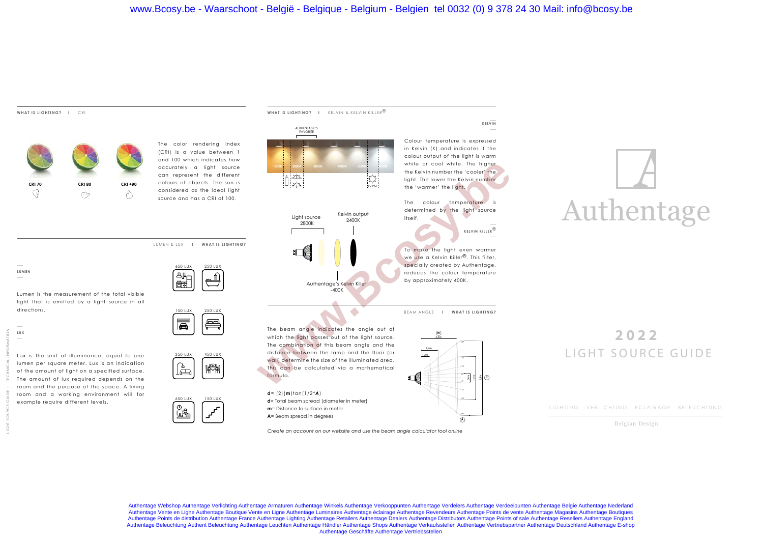## **WHAT IS LIGHTING? I** CRI



The color rendering index (CRI) is a value between 1 and 100 which indicates how accurately a light source can represent the different colours of objects. The sun is considered as the ideal light source and has a CRI of 100.

LUMEN & LUX **I WHAT IS LIGHTING?**



150 LUX 250 LUX

Lumen is the measurement of the total visible light that is emitted by a light source in all directions.

**LUMEN**

LIGHT SOURCE GUIDE I TECHNICAL INFORMATION Lux is the unit of illuminance, equal to one lumen per square meter. Lux is an indication of the amount of light on a specified surface. The amount of lux required depends on the room and the purpose of the space. A living room and a working environment will for example require different levels.



## Authentage

## **2022** LIGHT SOURCE GUIDE

LIGHTING - VERLICHTING - ECLAIRAGE - BELEUCHTUNG

Belgian Design

 $\equiv$  $\overline{\blacksquare}$ The beam angle indicates the angle out of which the light passes out of the light source. The combination of this beam angle and the distance between the lamp and the floor (or 350 LUX 450 LUX wall) determine the size of the illuminated area. 惨判 Թ This can be calculated via a mathematical formula. **d**= (2)(**m**)tan(1/2\**A*) 650 LUX 150 LUX **d**= Total beam spread (diameter in meter) **m**= Distance to surface in meter దు& **A**= Beam spread in degrees **A** *Create an account on our website and use the beam angle calculator tool online*

Authentage Webshop Authentage Verlichting Authentage Armaturen Authentage Winkels Authentage Verkooppunten Authentage Verdelers Authentage Verdeelpunten Authentage België Authentage Nederland Authentage Vente en Ligne Authentage Boutique Vente en Ligne Authentage Luminaires Authentage éclairage Authentage Revendeurs Authentage Points de vente Authentage Magasins Authentage Boutiques Authentage Points de distribution Authentage France Authentage Lighting Authentage Retailers Authentage Dealers Authentage Distributors Authentage Points of sale Authentage Resellers Authentage England Authentage Beleuchtung Authent Beleuchtung Authentage Leuchten Authentage Händler Authentage Shops Authentage Verkaufsstellen Authentage Vertriebspartner Authentage Deutschland Authentage E-shop<br>Authentage Geschäfte Authen